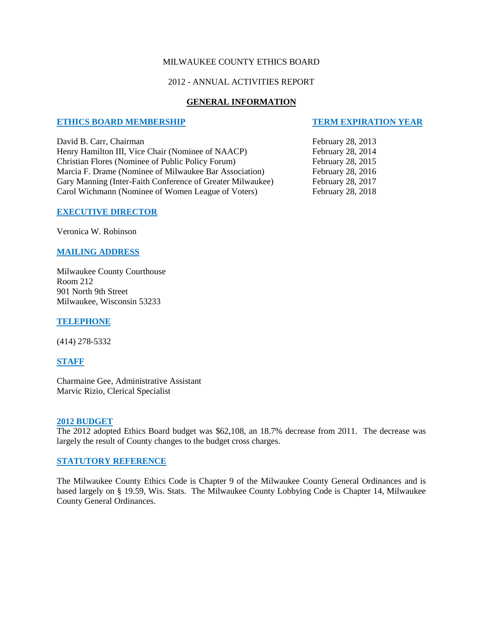#### MILWAUKEE COUNTY ETHICS BOARD

## 2012 - ANNUAL ACTIVITIES REPORT

#### **GENERAL INFORMATION**

#### **ETHICS BOARD MEMBERSHIP TERM EXPIRATION YEAR**

David B. Carr, Chairman February 28, 2013 Henry Hamilton III, Vice Chair (Nominee of NAACP) February 28, 2014<br>Christian Flores (Nominee of Public Policy Forum) February 28, 2015 Christian Flores (Nominee of Public Policy Forum) Marcia F. Drame (Nominee of Milwaukee Bar Association) February 28, 2016 Gary Manning (Inter-Faith Conference of Greater Milwaukee) February 28, 2017 Carol Wichmann (Nominee of Women League of Voters) February 28, 2018

# **EXECUTIVE DIRECTOR**

Veronica W. Robinson

#### **MAILING ADDRESS**

Milwaukee County Courthouse Room 212 901 North 9th Street Milwaukee, Wisconsin 53233

**TELEPHONE**

(414) 278-5332

**STAFF**

Charmaine Gee, Administrative Assistant Marvic Rizio, Clerical Specialist

#### **2012 BUDGET**

The 2012 adopted Ethics Board budget was \$62,108, an 18.7% decrease from 2011. The decrease was largely the result of County changes to the budget cross charges.

#### **STATUTORY REFERENCE**

The Milwaukee County Ethics Code is Chapter 9 of the Milwaukee County General Ordinances and is based largely on § 19.59, Wis. Stats. The Milwaukee County Lobbying Code is Chapter 14, Milwaukee County General Ordinances.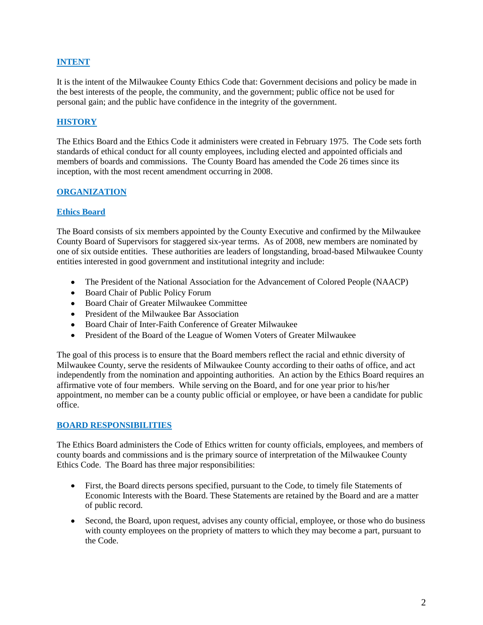# **INTENT**

It is the intent of the Milwaukee County Ethics Code that: Government decisions and policy be made in the best interests of the people, the community, and the government; public office not be used for personal gain; and the public have confidence in the integrity of the government.

# **HISTORY**

The Ethics Board and the Ethics Code it administers were created in February 1975. The Code sets forth standards of ethical conduct for all county employees, including elected and appointed officials and members of boards and commissions. The County Board has amended the Code 26 times since its inception, with the most recent amendment occurring in 2008.

# **ORGANIZATION**

## **Ethics Board**

The Board consists of six members appointed by the County Executive and confirmed by the Milwaukee County Board of Supervisors for staggered six-year terms. As of 2008, new members are nominated by one of six outside entities. These authorities are leaders of longstanding, broad-based Milwaukee County entities interested in good government and institutional integrity and include:

- The President of the National Association for the Advancement of Colored People (NAACP)
- Board Chair of Public Policy Forum
- Board Chair of Greater Milwaukee Committee
- President of the Milwaukee Bar Association
- Board Chair of Inter-Faith Conference of Greater Milwaukee
- $\bullet$ President of the Board of the League of Women Voters of Greater Milwaukee

The goal of this process is to ensure that the Board members reflect the racial and ethnic diversity of Milwaukee County, serve the residents of Milwaukee County according to their oaths of office, and act independently from the nomination and appointing authorities. An action by the Ethics Board requires an affirmative vote of four members. While serving on the Board, and for one year prior to his/her appointment, no member can be a county public official or employee, or have been a candidate for public office.

# **BOARD RESPONSIBILITIES**

The Ethics Board administers the Code of Ethics written for county officials, employees, and members of county boards and commissions and is the primary source of interpretation of the Milwaukee County Ethics Code. The Board has three major responsibilities:

- First, the Board directs persons specified, pursuant to the Code, to timely file Statements of Economic Interests with the Board. These Statements are retained by the Board and are a matter of public record.
- Second, the Board, upon request, advises any county official, employee, or those who do business with county employees on the propriety of matters to which they may become a part, pursuant to the Code.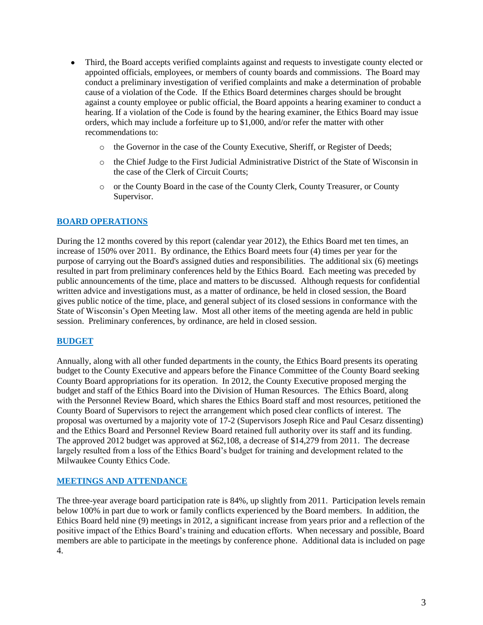- Third, the Board accepts verified complaints against and requests to investigate county elected or appointed officials, employees, or members of county boards and commissions. The Board may conduct a preliminary investigation of verified complaints and make a determination of probable cause of a violation of the Code. If the Ethics Board determines charges should be brought against a county employee or public official, the Board appoints a hearing examiner to conduct a hearing. If a violation of the Code is found by the hearing examiner, the Ethics Board may issue orders, which may include a forfeiture up to \$1,000, and/or refer the matter with other recommendations to:
	- o the Governor in the case of the County Executive, Sheriff, or Register of Deeds;
	- o the Chief Judge to the First Judicial Administrative District of the State of Wisconsin in the case of the Clerk of Circuit Courts;
	- o or the County Board in the case of the County Clerk, County Treasurer, or County Supervisor.

## **BOARD OPERATIONS**

During the 12 months covered by this report (calendar year 2012), the Ethics Board met ten times, an increase of 150% over 2011. By ordinance, the Ethics Board meets four (4) times per year for the purpose of carrying out the Board's assigned duties and responsibilities. The additional six (6) meetings resulted in part from preliminary conferences held by the Ethics Board. Each meeting was preceded by public announcements of the time, place and matters to be discussed. Although requests for confidential written advice and investigations must, as a matter of ordinance, be held in closed session, the Board gives public notice of the time, place, and general subject of its closed sessions in conformance with the State of Wisconsin's Open Meeting law. Most all other items of the meeting agenda are held in public session. Preliminary conferences, by ordinance, are held in closed session.

## **BUDGET**

Annually, along with all other funded departments in the county, the Ethics Board presents its operating budget to the County Executive and appears before the Finance Committee of the County Board seeking County Board appropriations for its operation. In 2012, the County Executive proposed merging the budget and staff of the Ethics Board into the Division of Human Resources. The Ethics Board, along with the Personnel Review Board, which shares the Ethics Board staff and most resources, petitioned the County Board of Supervisors to reject the arrangement which posed clear conflicts of interest. The proposal was overturned by a majority vote of 17-2 (Supervisors Joseph Rice and Paul Cesarz dissenting) and the Ethics Board and Personnel Review Board retained full authority over its staff and its funding. The approved 2012 budget was approved at \$62,108, a decrease of \$14,279 from 2011. The decrease largely resulted from a loss of the Ethics Board's budget for training and development related to the Milwaukee County Ethics Code.

## **MEETINGS AND ATTENDANCE**

The three-year average board participation rate is 84%, up slightly from 2011. Participation levels remain below 100% in part due to work or family conflicts experienced by the Board members. In addition, the Ethics Board held nine (9) meetings in 2012, a significant increase from years prior and a reflection of the positive impact of the Ethics Board's training and education efforts. When necessary and possible, Board members are able to participate in the meetings by conference phone. Additional data is included on page 4.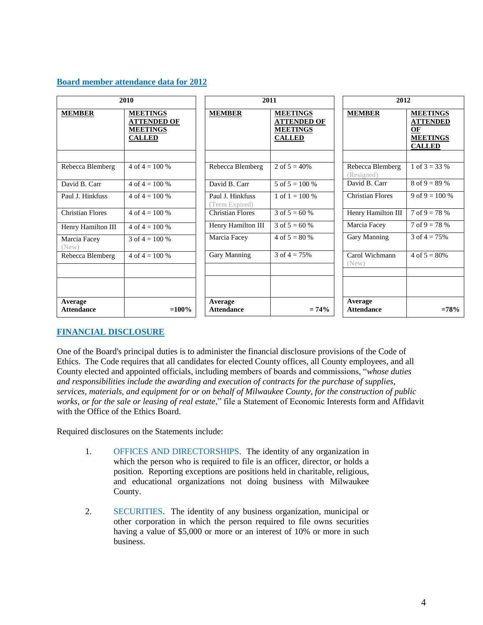## **Board member attendance data for 2012**

| 2010                         |                                                                           | 2011                               |                                                                           | 2012                           |                                                                              |
|------------------------------|---------------------------------------------------------------------------|------------------------------------|---------------------------------------------------------------------------|--------------------------------|------------------------------------------------------------------------------|
| <b>MEMBER</b>                | <b>MEETINGS</b><br><b>ATTENDED OF</b><br><b>MEETINGS</b><br><b>CALLED</b> | <b>MEMBER</b>                      | <b>MEETINGS</b><br><b>ATTENDED OF</b><br><b>MEETINGS</b><br><b>CALLED</b> | <b>MEMBER</b>                  | <b>MEETINGS</b><br><b>ATTENDED</b><br>OF<br><b>MEETINGS</b><br><b>CALLED</b> |
| Rebecca Blemberg             | 4 of $4 = 100\%$                                                          | Rebecca Blemberg                   | 2 of $5 = 40\%$                                                           | Rebecca Blemberg<br>(Resigned) | 1 of $3 = 33\%$                                                              |
| David B. Carr                | 4 of $4 = 100\%$                                                          | David B. Carr                      | 5 of $5 = 100\%$                                                          | David B. Carr                  | $8 \text{ of } 9 = 89 \%$                                                    |
| Paul J. Hinkfuss             | 4 of $4 = 100\%$                                                          | Paul J. Hinkfuss<br>(Term Expired) | 1 of $1 = 100\%$                                                          | <b>Christian Flores</b>        | 9 of 9 = 100 %                                                               |
| <b>Christian Flores</b>      | 4 of $4 = 100\%$                                                          | <b>Christian Flores</b>            | 3 of $5 = 60%$                                                            | Henry Hamilton III             | $7 \text{ of } 9 = 78 \%$                                                    |
| Henry Hamilton III           | 4 of $4 = 100\%$                                                          | Henry Hamilton III                 | 3 of $5 = 60%$                                                            | Marcia Facey                   | $7 \text{ of } 9 = 78 \%$                                                    |
| Marcia Facey<br>(New)        | 3 of $4 = 100\%$                                                          | Marcia Facey                       | 4 of $5 = 80%$                                                            | Gary Manning                   | 3 of $4 = 75\%$                                                              |
| Rebecca Blemberg             | 4 of $4 = 100\%$                                                          | Gary Manning                       | 3 of $4 = 75%$                                                            | Carol Wichmann<br>(New)        | $4 \text{ of } 5 = 80\%$                                                     |
| Average<br><b>Attendance</b> | $=100%$                                                                   | Average<br><b>Attendance</b>       | $= 74\%$                                                                  | Average<br><b>Attendance</b>   | $=78%$                                                                       |

# **FINANCIAL DISCLOSURE**

One of the Board's principal duties is to administer the financial disclosure provisions of the Code of Ethics. The Code requires that all candidates for elected County offices, all County employees, and all County elected and appointed officials, including members of boards and commissions, "*whose duties and responsibilities include the awarding and execution of contracts for the purchase of supplies, services, materials, and equipment for or on behalf of Milwaukee County, for the construction of public works, or for the sale or leasing of real estate*," file a Statement of Economic Interests form and Affidavit with the Office of the Ethics Board.

Required disclosures on the Statements include:

- 1. OFFICES AND DIRECTORSHIPS. The identity of any organization in which the person who is required to file is an officer, director, or holds a position. Reporting exceptions are positions held in charitable, religious, and educational organizations not doing business with Milwaukee County.
- 2. SECURITIES. The identity of any business organization, municipal or other corporation in which the person required to file owns securities having a value of \$5,000 or more or an interest of 10% or more in such business.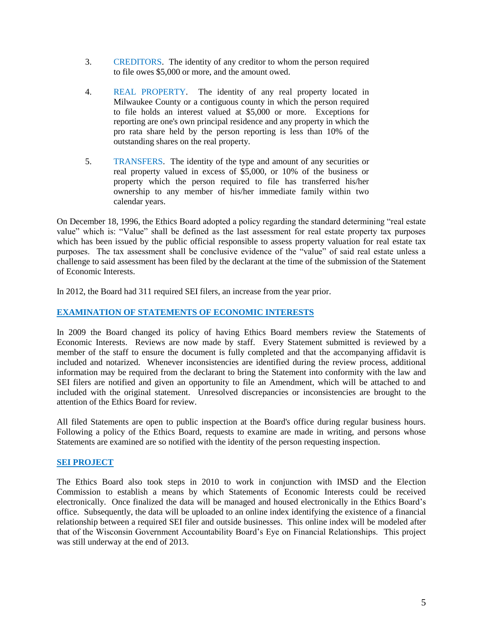- 3. CREDITORS. The identity of any creditor to whom the person required to file owes \$5,000 or more, and the amount owed.
- 4. REAL PROPERTY. The identity of any real property located in Milwaukee County or a contiguous county in which the person required to file holds an interest valued at \$5,000 or more. Exceptions for reporting are one's own principal residence and any property in which the pro rata share held by the person reporting is less than 10% of the outstanding shares on the real property.
- 5. TRANSFERS. The identity of the type and amount of any securities or real property valued in excess of \$5,000, or 10% of the business or property which the person required to file has transferred his/her ownership to any member of his/her immediate family within two calendar years.

On December 18, 1996, the Ethics Board adopted a policy regarding the standard determining "real estate value" which is: "Value" shall be defined as the last assessment for real estate property tax purposes which has been issued by the public official responsible to assess property valuation for real estate tax purposes. The tax assessment shall be conclusive evidence of the "value" of said real estate unless a challenge to said assessment has been filed by the declarant at the time of the submission of the Statement of Economic Interests.

In 2012, the Board had 311 required SEI filers, an increase from the year prior.

# **EXAMINATION OF STATEMENTS OF ECONOMIC INTERESTS**

In 2009 the Board changed its policy of having Ethics Board members review the Statements of Economic Interests. Reviews are now made by staff. Every Statement submitted is reviewed by a member of the staff to ensure the document is fully completed and that the accompanying affidavit is included and notarized. Whenever inconsistencies are identified during the review process, additional information may be required from the declarant to bring the Statement into conformity with the law and SEI filers are notified and given an opportunity to file an Amendment, which will be attached to and included with the original statement. Unresolved discrepancies or inconsistencies are brought to the attention of the Ethics Board for review.

All filed Statements are open to public inspection at the Board's office during regular business hours. Following a policy of the Ethics Board, requests to examine are made in writing, and persons whose Statements are examined are so notified with the identity of the person requesting inspection.

# **SEI PROJECT**

The Ethics Board also took steps in 2010 to work in conjunction with IMSD and the Election Commission to establish a means by which Statements of Economic Interests could be received electronically. Once finalized the data will be managed and housed electronically in the Ethics Board's office. Subsequently, the data will be uploaded to an online index identifying the existence of a financial relationship between a required SEI filer and outside businesses. This online index will be modeled after that of the Wisconsin Government Accountability Board's Eye on Financial Relationships. This project was still underway at the end of 2013.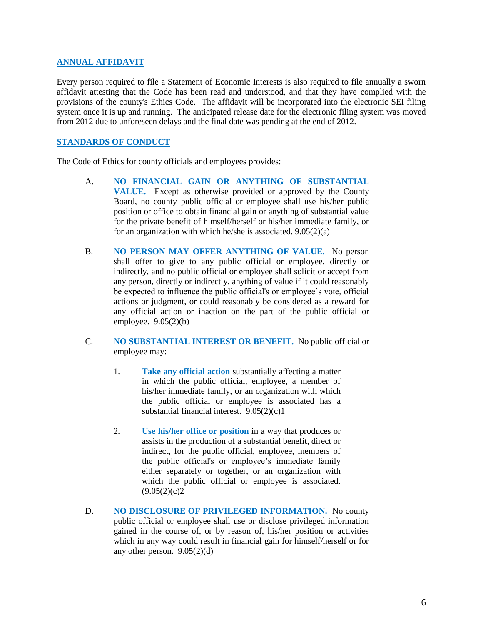# **ANNUAL AFFIDAVIT**

Every person required to file a Statement of Economic Interests is also required to file annually a sworn affidavit attesting that the Code has been read and understood, and that they have complied with the provisions of the county's Ethics Code. The affidavit will be incorporated into the electronic SEI filing system once it is up and running. The anticipated release date for the electronic filing system was moved from 2012 due to unforeseen delays and the final date was pending at the end of 2012.

# **STANDARDS OF CONDUCT**

The Code of Ethics for county officials and employees provides:

- A. **NO FINANCIAL GAIN OR ANYTHING OF SUBSTANTIAL VALUE.** Except as otherwise provided or approved by the County Board, no county public official or employee shall use his/her public position or office to obtain financial gain or anything of substantial value for the private benefit of himself/herself or his/her immediate family, or for an organization with which he/she is associated. 9.05(2)(a)
- B. **NO PERSON MAY OFFER ANYTHING OF VALUE.** No person shall offer to give to any public official or employee, directly or indirectly, and no public official or employee shall solicit or accept from any person, directly or indirectly, anything of value if it could reasonably be expected to influence the public official's or employee's vote, official actions or judgment, or could reasonably be considered as a reward for any official action or inaction on the part of the public official or employee. 9.05(2)(b)
- C. **NO SUBSTANTIAL INTEREST OR BENEFIT.** No public official or employee may:
	- 1. **Take any official action** substantially affecting a matter in which the public official, employee, a member of his/her immediate family, or an organization with which the public official or employee is associated has a substantial financial interest. 9.05(2)(c)1
	- 2. **Use his/her office or position** in a way that produces or assists in the production of a substantial benefit, direct or indirect, for the public official, employee, members of the public official's or employee's immediate family either separately or together, or an organization with which the public official or employee is associated.  $(9.05(2)(c)2)$
- D. **NO DISCLOSURE OF PRIVILEGED INFORMATION.** No county public official or employee shall use or disclose privileged information gained in the course of, or by reason of, his/her position or activities which in any way could result in financial gain for himself/herself or for any other person.  $9.05(2)(d)$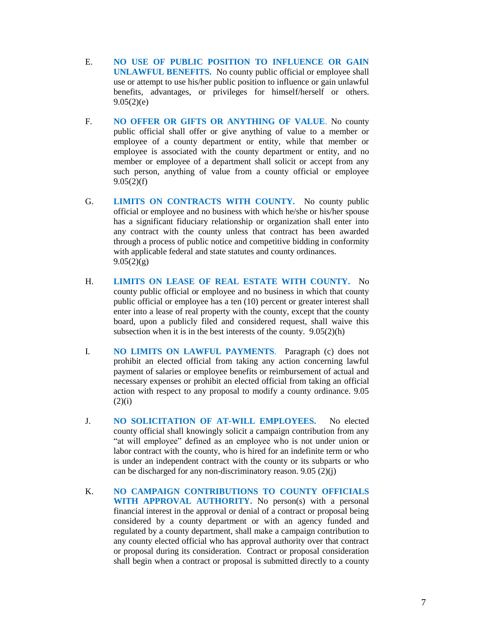- E. **NO USE OF PUBLIC POSITION TO INFLUENCE OR GAIN UNLAWFUL BENEFITS.** No county public official or employee shall use or attempt to use his/her public position to influence or gain unlawful benefits, advantages, or privileges for himself/herself or others.  $9.05(2)(e)$
- F. **NO OFFER OR GIFTS OR ANYTHING OF VALUE**. No county public official shall offer or give anything of value to a member or employee of a county department or entity, while that member or employee is associated with the county department or entity, and no member or employee of a department shall solicit or accept from any such person, anything of value from a county official or employee  $9.05(2)(f)$
- G. **LIMITS ON CONTRACTS WITH COUNTY.** No county public official or employee and no business with which he/she or his/her spouse has a significant fiduciary relationship or organization shall enter into any contract with the county unless that contract has been awarded through a process of public notice and competitive bidding in conformity with applicable federal and state statutes and county ordinances.  $9.05(2)(g)$
- H. **LIMITS ON LEASE OF REAL ESTATE WITH COUNTY.** No county public official or employee and no business in which that county public official or employee has a ten (10) percent or greater interest shall enter into a lease of real property with the county, except that the county board, upon a publicly filed and considered request, shall waive this subsection when it is in the best interests of the county. 9.05(2)(h)
- I. **NO LIMITS ON LAWFUL PAYMENTS**. Paragraph (c) does not prohibit an elected official from taking any action concerning lawful payment of salaries or employee benefits or reimbursement of actual and necessary expenses or prohibit an elected official from taking an official action with respect to any proposal to modify a county ordinance. 9.05  $(2)(i)$
- J. **NO SOLICITATION OF AT-WILL EMPLOYEES.** No elected county official shall knowingly solicit a campaign contribution from any "at will employee" defined as an employee who is not under union or labor contract with the county, who is hired for an indefinite term or who is under an independent contract with the county or its subparts or who can be discharged for any non-discriminatory reason. 9.05 (2)(j)
- K. **NO CAMPAIGN CONTRIBUTIONS TO COUNTY OFFICIALS WITH APPROVAL AUTHORITY.** No person(s) with a personal financial interest in the approval or denial of a contract or proposal being considered by a county department or with an agency funded and regulated by a county department, shall make a campaign contribution to any county elected official who has approval authority over that contract or proposal during its consideration. Contract or proposal consideration shall begin when a contract or proposal is submitted directly to a county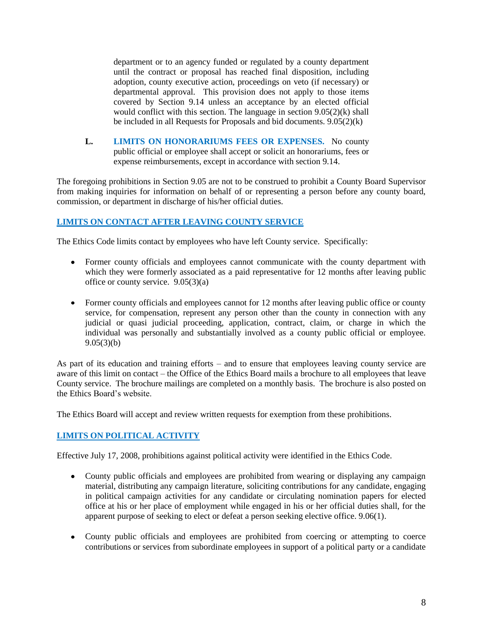department or to an agency funded or regulated by a county department until the contract or proposal has reached final disposition, including adoption, county executive action, proceedings on veto (if necessary) or departmental approval. This provision does not apply to those items covered by Section 9.14 unless an acceptance by an elected official would conflict with this section. The language in section 9.05(2)(k) shall be included in all Requests for Proposals and bid documents. 9.05(2)(k)

**L. LIMITS ON HONORARIUMS FEES OR EXPENSES.** No county public official or employee shall accept or solicit an honorariums, fees or expense reimbursements, except in accordance with section 9.14.

The foregoing prohibitions in Section 9.05 are not to be construed to prohibit a County Board Supervisor from making inquiries for information on behalf of or representing a person before any county board, commission, or department in discharge of his/her official duties.

# **LIMITS ON CONTACT AFTER LEAVING COUNTY SERVICE**

The Ethics Code limits contact by employees who have left County service. Specifically:

- Former county officials and employees cannot communicate with the county department with which they were formerly associated as a paid representative for 12 months after leaving public office or county service. 9.05(3)(a)
- Former county officials and employees cannot for 12 months after leaving public office or county service, for compensation, represent any person other than the county in connection with any judicial or quasi judicial proceeding, application, contract, claim, or charge in which the individual was personally and substantially involved as a county public official or employee.  $9.05(3)(b)$

As part of its education and training efforts – and to ensure that employees leaving county service are aware of this limit on contact – the Office of the Ethics Board mails a brochure to all employees that leave County service. The brochure mailings are completed on a monthly basis. The brochure is also posted on the Ethics Board's website.

The Ethics Board will accept and review written requests for exemption from these prohibitions.

# **LIMITS ON POLITICAL ACTIVITY**

Effective July 17, 2008, prohibitions against political activity were identified in the Ethics Code.

- County public officials and employees are prohibited from wearing or displaying any campaign material, distributing any campaign literature, soliciting contributions for any candidate, engaging in political campaign activities for any candidate or circulating nomination papers for elected office at his or her place of employment while engaged in his or her official duties shall, for the apparent purpose of seeking to elect or defeat a person seeking elective office. 9.06(1).
- County public officials and employees are prohibited from coercing or attempting to coerce contributions or services from subordinate employees in support of a political party or a candidate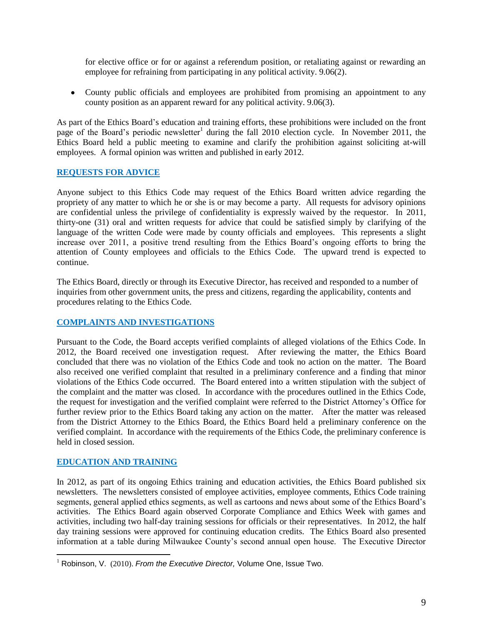for elective office or for or against a referendum position, or retaliating against or rewarding an employee for refraining from participating in any political activity. 9.06(2).

County public officials and employees are prohibited from promising an appointment to any county position as an apparent reward for any political activity. 9.06(3).

As part of the Ethics Board's education and training efforts, these prohibitions were included on the front page of the Board's periodic newsletter<sup>1</sup> during the fall 2010 election cycle. In November 2011, the Ethics Board held a public meeting to examine and clarify the prohibition against soliciting at-will employees. A formal opinion was written and published in early 2012.

# **REQUESTS FOR ADVICE**

Anyone subject to this Ethics Code may request of the Ethics Board written advice regarding the propriety of any matter to which he or she is or may become a party. All requests for advisory opinions are confidential unless the privilege of confidentiality is expressly waived by the requestor. In 2011, thirty-one (31) oral and written requests for advice that could be satisfied simply by clarifying of the language of the written Code were made by county officials and employees. This represents a slight increase over 2011, a positive trend resulting from the Ethics Board's ongoing efforts to bring the attention of County employees and officials to the Ethics Code. The upward trend is expected to continue.

The Ethics Board, directly or through its Executive Director, has received and responded to a number of inquiries from other government units, the press and citizens, regarding the applicability, contents and procedures relating to the Ethics Code.

# **COMPLAINTS AND INVESTIGATIONS**

Pursuant to the Code, the Board accepts verified complaints of alleged violations of the Ethics Code. In 2012, the Board received one investigation request. After reviewing the matter, the Ethics Board concluded that there was no violation of the Ethics Code and took no action on the matter. The Board also received one verified complaint that resulted in a preliminary conference and a finding that minor violations of the Ethics Code occurred. The Board entered into a written stipulation with the subject of the complaint and the matter was closed. In accordance with the procedures outlined in the Ethics Code, the request for investigation and the verified complaint were referred to the District Attorney's Office for further review prior to the Ethics Board taking any action on the matter. After the matter was released from the District Attorney to the Ethics Board, the Ethics Board held a preliminary conference on the verified complaint. In accordance with the requirements of the Ethics Code, the preliminary conference is held in closed session.

# **EDUCATION AND TRAINING**

 $\overline{a}$ 

In 2012, as part of its ongoing Ethics training and education activities, the Ethics Board published six newsletters. The newsletters consisted of employee activities, employee comments, Ethics Code training segments, general applied ethics segments, as well as cartoons and news about some of the Ethics Board's activities. The Ethics Board again observed Corporate Compliance and Ethics Week with games and activities, including two half-day training sessions for officials or their representatives. In 2012, the half day training sessions were approved for continuing education credits. The Ethics Board also presented information at a table during Milwaukee County's second annual open house. The Executive Director

<sup>&</sup>lt;sup>1</sup> Robinson, V. (2010). *From the Executive Director*, Volume One, Issue Two.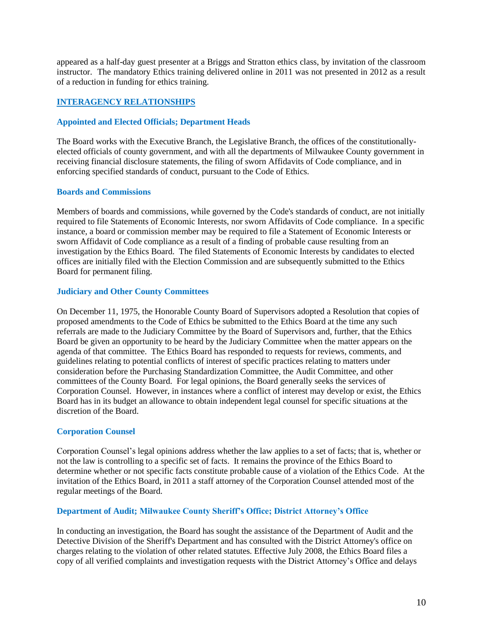appeared as a half-day guest presenter at a Briggs and Stratton ethics class, by invitation of the classroom instructor. The mandatory Ethics training delivered online in 2011 was not presented in 2012 as a result of a reduction in funding for ethics training.

# **INTERAGENCY RELATIONSHIPS**

# **Appointed and Elected Officials; Department Heads**

The Board works with the Executive Branch, the Legislative Branch, the offices of the constitutionallyelected officials of county government, and with all the departments of Milwaukee County government in receiving financial disclosure statements, the filing of sworn Affidavits of Code compliance, and in enforcing specified standards of conduct, pursuant to the Code of Ethics.

## **Boards and Commissions**

Members of boards and commissions, while governed by the Code's standards of conduct, are not initially required to file Statements of Economic Interests, nor sworn Affidavits of Code compliance. In a specific instance, a board or commission member may be required to file a Statement of Economic Interests or sworn Affidavit of Code compliance as a result of a finding of probable cause resulting from an investigation by the Ethics Board. The filed Statements of Economic Interests by candidates to elected offices are initially filed with the Election Commission and are subsequently submitted to the Ethics Board for permanent filing.

# **Judiciary and Other County Committees**

On December 11, 1975, the Honorable County Board of Supervisors adopted a Resolution that copies of proposed amendments to the Code of Ethics be submitted to the Ethics Board at the time any such referrals are made to the Judiciary Committee by the Board of Supervisors and, further, that the Ethics Board be given an opportunity to be heard by the Judiciary Committee when the matter appears on the agenda of that committee. The Ethics Board has responded to requests for reviews, comments, and guidelines relating to potential conflicts of interest of specific practices relating to matters under consideration before the Purchasing Standardization Committee, the Audit Committee, and other committees of the County Board. For legal opinions, the Board generally seeks the services of Corporation Counsel. However, in instances where a conflict of interest may develop or exist, the Ethics Board has in its budget an allowance to obtain independent legal counsel for specific situations at the discretion of the Board.

# **Corporation Counsel**

Corporation Counsel's legal opinions address whether the law applies to a set of facts; that is, whether or not the law is controlling to a specific set of facts. It remains the province of the Ethics Board to determine whether or not specific facts constitute probable cause of a violation of the Ethics Code. At the invitation of the Ethics Board, in 2011 a staff attorney of the Corporation Counsel attended most of the regular meetings of the Board.

## **Department of Audit; Milwaukee County Sheriff's Office; District Attorney's Office**

In conducting an investigation, the Board has sought the assistance of the Department of Audit and the Detective Division of the Sheriff's Department and has consulted with the District Attorney's office on charges relating to the violation of other related statutes. Effective July 2008, the Ethics Board files a copy of all verified complaints and investigation requests with the District Attorney's Office and delays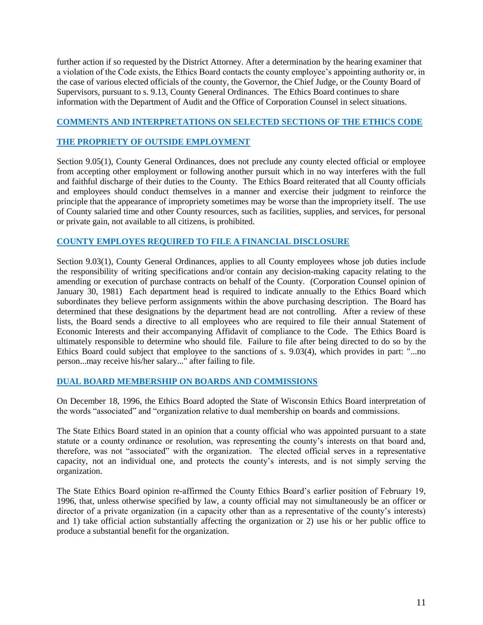further action if so requested by the District Attorney. After a determination by the hearing examiner that a violation of the Code exists, the Ethics Board contacts the county employee's appointing authority or, in the case of various elected officials of the county, the Governor, the Chief Judge, or the County Board of Supervisors, pursuant to s. 9.13, County General Ordinances. The Ethics Board continues to share information with the Department of Audit and the Office of Corporation Counsel in select situations.

# **COMMENTS AND INTERPRETATIONS ON SELECTED SECTIONS OF THE ETHICS CODE**

# **THE PROPRIETY OF OUTSIDE EMPLOYMENT**

Section 9.05(1), County General Ordinances, does not preclude any county elected official or employee from accepting other employment or following another pursuit which in no way interferes with the full and faithful discharge of their duties to the County. The Ethics Board reiterated that all County officials and employees should conduct themselves in a manner and exercise their judgment to reinforce the principle that the appearance of impropriety sometimes may be worse than the impropriety itself. The use of County salaried time and other County resources, such as facilities, supplies, and services, for personal or private gain, not available to all citizens, is prohibited.

# **COUNTY EMPLOYES REQUIRED TO FILE A FINANCIAL DISCLOSURE**

Section 9.03(1), County General Ordinances, applies to all County employees whose job duties include the responsibility of writing specifications and/or contain any decision-making capacity relating to the amending or execution of purchase contracts on behalf of the County. (Corporation Counsel opinion of January 30, 1981) Each department head is required to indicate annually to the Ethics Board which subordinates they believe perform assignments within the above purchasing description. The Board has determined that these designations by the department head are not controlling. After a review of these lists, the Board sends a directive to all employees who are required to file their annual Statement of Economic Interests and their accompanying Affidavit of compliance to the Code. The Ethics Board is ultimately responsible to determine who should file. Failure to file after being directed to do so by the Ethics Board could subject that employee to the sanctions of s. 9.03(4), which provides in part: "...no person...may receive his/her salary..." after failing to file.

## **DUAL BOARD MEMBERSHIP ON BOARDS AND COMMISSIONS**

On December 18, 1996, the Ethics Board adopted the State of Wisconsin Ethics Board interpretation of the words "associated" and "organization relative to dual membership on boards and commissions.

The State Ethics Board stated in an opinion that a county official who was appointed pursuant to a state statute or a county ordinance or resolution, was representing the county's interests on that board and, therefore, was not "associated" with the organization. The elected official serves in a representative capacity, not an individual one, and protects the county's interests, and is not simply serving the organization.

The State Ethics Board opinion re-affirmed the County Ethics Board's earlier position of February 19, 1996, that, unless otherwise specified by law, a county official may not simultaneously be an officer or director of a private organization (in a capacity other than as a representative of the county's interests) and 1) take official action substantially affecting the organization or 2) use his or her public office to produce a substantial benefit for the organization.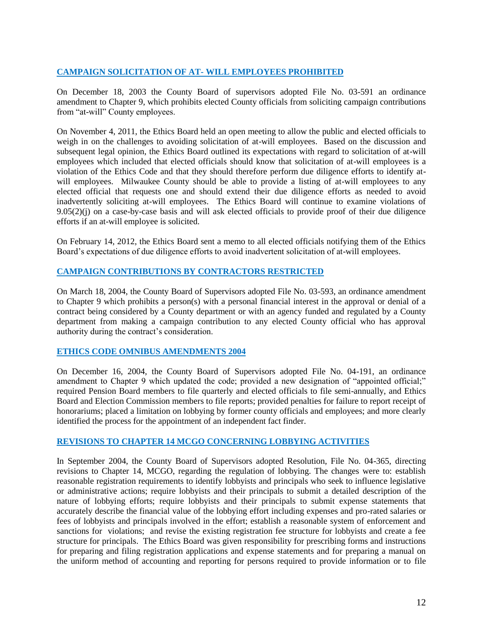# **CAMPAIGN SOLICITATION OF AT- WILL EMPLOYEES PROHIBITED**

On December 18, 2003 the County Board of supervisors adopted File No. 03-591 an ordinance amendment to Chapter 9, which prohibits elected County officials from soliciting campaign contributions from "at-will" County employees.

On November 4, 2011, the Ethics Board held an open meeting to allow the public and elected officials to weigh in on the challenges to avoiding solicitation of at-will employees. Based on the discussion and subsequent legal opinion, the Ethics Board outlined its expectations with regard to solicitation of at-will employees which included that elected officials should know that solicitation of at-will employees is a violation of the Ethics Code and that they should therefore perform due diligence efforts to identify atwill employees. Milwaukee County should be able to provide a listing of at-will employees to any elected official that requests one and should extend their due diligence efforts as needed to avoid inadvertently soliciting at-will employees. The Ethics Board will continue to examine violations of 9.05(2)(j) on a case-by-case basis and will ask elected officials to provide proof of their due diligence efforts if an at-will employee is solicited.

On February 14, 2012, the Ethics Board sent a memo to all elected officials notifying them of the Ethics Board's expectations of due diligence efforts to avoid inadvertent solicitation of at-will employees.

# **CAMPAIGN CONTRIBUTIONS BY CONTRACTORS RESTRICTED**

On March 18, 2004, the County Board of Supervisors adopted File No. 03-593, an ordinance amendment to Chapter 9 which prohibits a person(s) with a personal financial interest in the approval or denial of a contract being considered by a County department or with an agency funded and regulated by a County department from making a campaign contribution to any elected County official who has approval authority during the contract's consideration.

## **ETHICS CODE OMNIBUS AMENDMENTS 2004**

On December 16, 2004, the County Board of Supervisors adopted File No. 04-191, an ordinance amendment to Chapter 9 which updated the code; provided a new designation of "appointed official;" required Pension Board members to file quarterly and elected officials to file semi-annually, and Ethics Board and Election Commission members to file reports; provided penalties for failure to report receipt of honorariums; placed a limitation on lobbying by former county officials and employees; and more clearly identified the process for the appointment of an independent fact finder.

## **REVISIONS TO CHAPTER 14 MCGO CONCERNING LOBBYING ACTIVITIES**

In September 2004, the County Board of Supervisors adopted Resolution, File No. 04-365, directing revisions to Chapter 14, MCGO, regarding the regulation of lobbying. The changes were to: establish reasonable registration requirements to identify lobbyists and principals who seek to influence legislative or administrative actions; require lobbyists and their principals to submit a detailed description of the nature of lobbying efforts; require lobbyists and their principals to submit expense statements that accurately describe the financial value of the lobbying effort including expenses and pro-rated salaries or fees of lobbyists and principals involved in the effort; establish a reasonable system of enforcement and sanctions for violations; and revise the existing registration fee structure for lobbyists and create a fee structure for principals. The Ethics Board was given responsibility for prescribing forms and instructions for preparing and filing registration applications and expense statements and for preparing a manual on the uniform method of accounting and reporting for persons required to provide information or to file